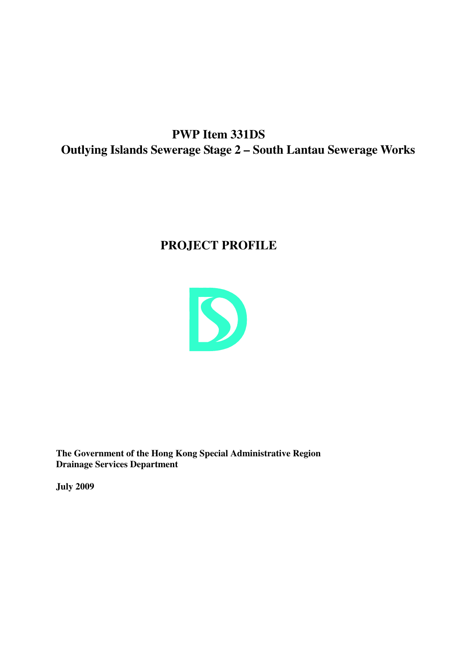**PWP Item 331DS Outlying Islands Sewerage Stage 2 – South Lantau Sewerage Works**

# **PROJECT PROFILE**



**The Government of the Hong Kong Special Administrative Region Drainage Services Department**

**July 2009**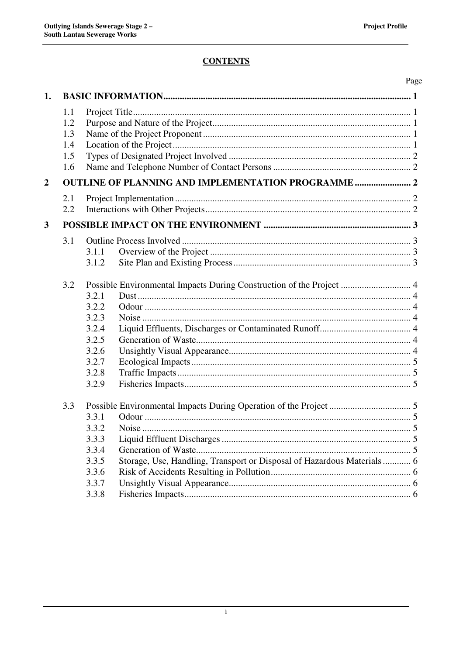# **CONTENTS**

|                |     |       |                                                                        | Page |  |  |
|----------------|-----|-------|------------------------------------------------------------------------|------|--|--|
| 1.             |     |       |                                                                        |      |  |  |
|                | 1.1 |       |                                                                        |      |  |  |
|                | 1.2 |       |                                                                        |      |  |  |
|                | 1.3 |       |                                                                        |      |  |  |
|                | 1.4 |       |                                                                        |      |  |  |
|                | 1.5 |       |                                                                        |      |  |  |
|                | 1.6 |       |                                                                        |      |  |  |
| $\overline{2}$ |     |       |                                                                        |      |  |  |
|                | 2.1 |       |                                                                        |      |  |  |
|                | 2.2 |       |                                                                        |      |  |  |
| $\mathbf{3}$   |     |       |                                                                        |      |  |  |
|                | 3.1 |       |                                                                        |      |  |  |
|                |     | 3.1.1 |                                                                        |      |  |  |
|                |     | 3.1.2 |                                                                        |      |  |  |
|                |     |       |                                                                        |      |  |  |
|                | 3.2 |       | Possible Environmental Impacts During Construction of the Project  4   |      |  |  |
|                |     | 3.2.1 |                                                                        |      |  |  |
|                |     | 3.2.2 |                                                                        |      |  |  |
|                |     | 3.2.3 |                                                                        |      |  |  |
|                |     | 3.2.4 |                                                                        |      |  |  |
|                |     | 3.2.5 |                                                                        |      |  |  |
|                |     | 3.2.6 |                                                                        |      |  |  |
|                |     | 3.2.7 |                                                                        |      |  |  |
|                |     | 3.2.8 |                                                                        |      |  |  |
|                |     | 3.2.9 |                                                                        |      |  |  |
|                | 3.3 |       |                                                                        |      |  |  |
|                |     | 3.3.1 |                                                                        |      |  |  |
|                |     | 3.3.2 |                                                                        |      |  |  |
|                |     | 3.3.3 |                                                                        |      |  |  |
|                |     | 3.3.4 |                                                                        |      |  |  |
|                |     | 3.3.5 | Storage, Use, Handling, Transport or Disposal of Hazardous Materials 6 |      |  |  |
|                |     | 3.3.6 |                                                                        |      |  |  |
|                |     | 3.3.7 |                                                                        |      |  |  |
|                |     | 3.3.8 |                                                                        |      |  |  |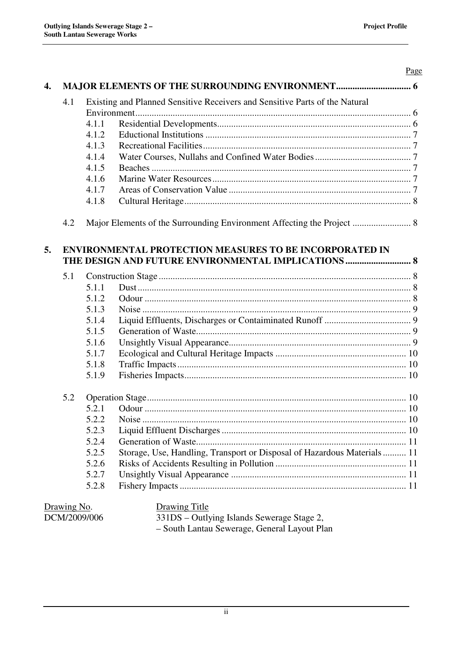| 4.1          |       | Existing and Planned Sensitive Receivers and Sensitive Parts of the Natural |  |  |  |
|--------------|-------|-----------------------------------------------------------------------------|--|--|--|
|              |       |                                                                             |  |  |  |
|              | 4.1.1 |                                                                             |  |  |  |
|              | 4.1.2 |                                                                             |  |  |  |
|              | 4.1.3 |                                                                             |  |  |  |
|              | 4.1.4 |                                                                             |  |  |  |
|              |       |                                                                             |  |  |  |
|              | 4.1.5 |                                                                             |  |  |  |
|              | 4.1.6 |                                                                             |  |  |  |
|              | 4.1.7 |                                                                             |  |  |  |
|              | 4.1.8 |                                                                             |  |  |  |
| 4.2          |       | Major Elements of the Surrounding Environment Affecting the Project  8      |  |  |  |
| 5.           |       | <b>ENVIRONMENTAL PROTECTION MEASURES TO BE INCORPORATED IN</b>              |  |  |  |
|              |       | THE DESIGN AND FUTURE ENVIRONMENTAL IMPLICATIONS  8                         |  |  |  |
| 5.1          |       |                                                                             |  |  |  |
|              | 5.1.1 |                                                                             |  |  |  |
|              | 5.1.2 |                                                                             |  |  |  |
|              | 5.1.3 |                                                                             |  |  |  |
|              | 5.1.4 |                                                                             |  |  |  |
|              | 5.1.5 |                                                                             |  |  |  |
|              | 5.1.6 |                                                                             |  |  |  |
|              | 5.1.7 |                                                                             |  |  |  |
|              | 5.1.8 |                                                                             |  |  |  |
|              | 5.1.9 |                                                                             |  |  |  |
| 5.2          |       |                                                                             |  |  |  |
|              | 5.2.1 |                                                                             |  |  |  |
|              | 5.2.2 |                                                                             |  |  |  |
|              | 5.2.3 |                                                                             |  |  |  |
|              | 5.2.4 |                                                                             |  |  |  |
|              | 5.2.5 | Storage, Use, Handling, Transport or Disposal of Hazardous Materials 11     |  |  |  |
|              | 5.2.6 |                                                                             |  |  |  |
|              | 5.2.7 |                                                                             |  |  |  |
|              | 5.2.8 |                                                                             |  |  |  |
| Drawing No.  |       | <b>Drawing Title</b>                                                        |  |  |  |
| DCM/2009/006 |       | 331DS - Outlying Islands Sewerage Stage 2,                                  |  |  |  |

– South Lantau Sewerage, General Layout Plan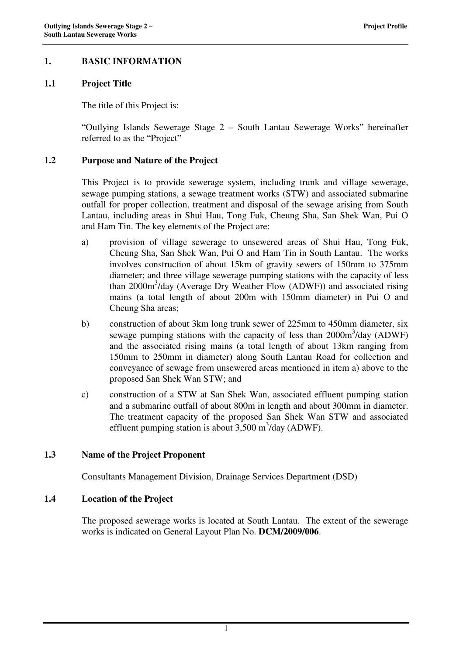# **1. BASIC INFORMATION**

### **1.1 Project Title**

The title of this Project is:

"Outlying Islands Sewerage Stage 2 – South Lantau Sewerage Works" hereinafter referred to as the "Project"

#### **1.2 Purpose and Nature of the Project**

This Project is to provide sewerage system, including trunk and village sewerage, sewage pumping stations, a sewage treatment works (STW) and associated submarine outfall for proper collection, treatment and disposal of the sewage arising from South Lantau, including areas in Shui Hau, Tong Fuk, Cheung Sha, San Shek Wan, Pui O and Ham Tin. The key elements of the Project are:

- a) provision of village sewerage to unsewered areas of Shui Hau, Tong Fuk, Cheung Sha, San Shek Wan, Pui O and Ham Tin in South Lantau. The works involves construction of about 15km of gravity sewers of 150mm to 375mm diameter; and three village sewerage pumping stations with the capacity of less than 2000m<sup>3</sup>/day (Average Dry Weather Flow (ADWF)) and associated rising mains (a total length of about 200m with 150mm diameter) in Pui O and Cheung Sha areas;
- b) construction of about 3km long trunk sewer of 225mm to 450mm diameter, six sewage pumping stations with the capacity of less than 2000m<sup>3</sup>/day (ADWF) and the associated rising mains (a total length of about 13km ranging from 150mm to 250mm in diameter) along South Lantau Road for collection and conveyance of sewage from unsewered areas mentioned in item a) above to the proposed San Shek Wan STW; and
- c) construction of a STW at San Shek Wan, associated effluent pumping station and a submarine outfall of about 800m in length and about 300mm in diameter. The treatment capacity of the proposed San Shek Wan STW and associated effluent pumping station is about  $3,500 \text{ m}^3/\text{day}$  (ADWF).

# **1.3 Name of the Project Proponent**

Consultants Management Division, Drainage Services Department (DSD)

### **1.4 Location of the Project**

The proposed sewerage works is located at South Lantau. The extent of the sewerage works is indicated on General Layout Plan No. **DCM/2009/006**.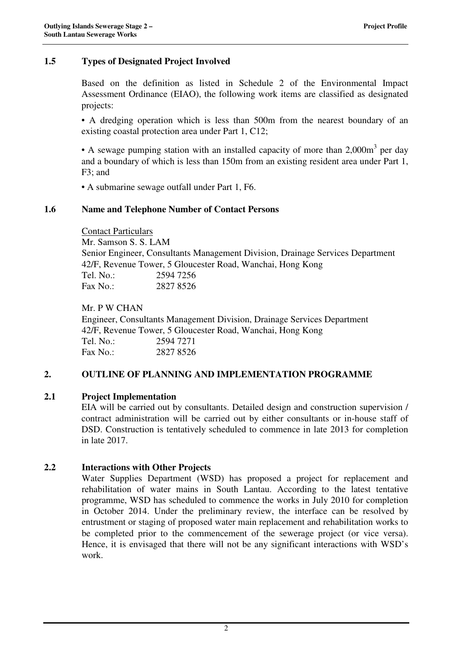# **1.5 Types of Designated Project Involved**

Based on the definition as listed in Schedule 2 of the Environmental Impact Assessment Ordinance (EIAO), the following work items are classified as designated projects:

• A dredging operation which is less than 500m from the nearest boundary of an existing coastal protection area under Part 1, C12;

• A sewage pumping station with an installed capacity of more than 2,000m<sup>3</sup> per day and a boundary of which is less than 150m from an existing resident area under Part 1, F3; and

• A submarine sewage outfall under Part 1, F6.

# **1.6 Name and Telephone Number of Contact Persons**

Contact Particulars Mr. Samson S. S. LAM Senior Engineer, Consultants Management Division, Drainage Services Department 42/F, Revenue Tower, 5 Gloucester Road, Wanchai, Hong Kong Tel. No.: 2594 7256 Fax No.: 2827 8526

Mr. P W CHAN Engineer, Consultants Management Division, Drainage Services Department 42/F, Revenue Tower, 5 Gloucester Road, Wanchai, Hong Kong Tel. No.: 2594 7271  $\text{Fax No} \cdot 28278526$ 

### **2. OUTLINE OF PLANNING AND IMPLEMENTATION PROGRAMME**

### **2.1 Project Implementation**

EIA will be carried out by consultants. Detailed design and construction supervision / contract administration will be carried out by either consultants or in-house staff of DSD. Construction is tentatively scheduled to commence in late 2013 for completion in late 2017.

### **2.2 Interactions with Other Projects**

Water Supplies Department (WSD) has proposed a project for replacement and rehabilitation of water mains in South Lantau. According to the latest tentative programme, WSD has scheduled to commence the works in July 2010 for completion in October 2014. Under the preliminary review, the interface can be resolved by entrustment or staging of proposed water main replacement and rehabilitation works to be completed prior to the commencement of the sewerage project (or vice versa). Hence, it is envisaged that there will not be any significant interactions with WSD's work.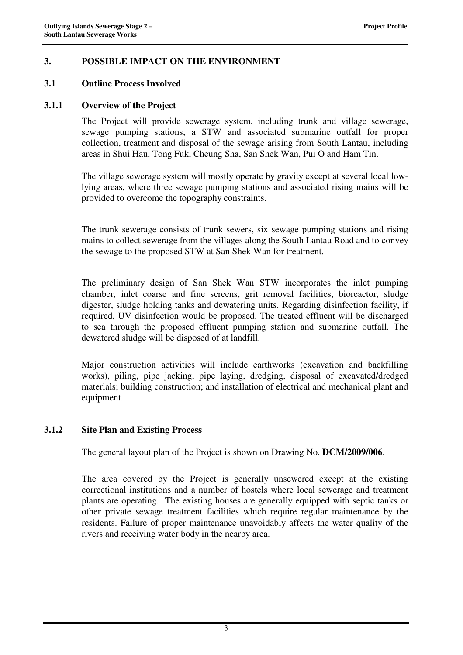# **3. POSSIBLE IMPACT ON THE ENVIRONMENT**

### **3.1 Outline Process Involved**

### **3.1.1 Overview of the Project**

The Project will provide sewerage system, including trunk and village sewerage, sewage pumping stations, a STW and associated submarine outfall for proper collection, treatment and disposal of the sewage arising from South Lantau, including areas in Shui Hau, Tong Fuk, Cheung Sha, San Shek Wan, Pui O and Ham Tin.

The village sewerage system will mostly operate by gravity except at several local lowlying areas, where three sewage pumping stations and associated rising mains will be provided to overcome the topography constraints.

The trunk sewerage consists of trunk sewers, six sewage pumping stations and rising mains to collect sewerage from the villages along the South Lantau Road and to convey the sewage to the proposed STW at San Shek Wan for treatment.

The preliminary design of San Shek Wan STW incorporates the inlet pumping chamber, inlet coarse and fine screens, grit removal facilities, bioreactor, sludge digester, sludge holding tanks and dewatering units. Regarding disinfection facility, if required, UV disinfection would be proposed. The treated effluent will be discharged to sea through the proposed effluent pumping station and submarine outfall. The dewatered sludge will be disposed of at landfill.

Major construction activities will include earthworks (excavation and backfilling works), piling, pipe jacking, pipe laying, dredging, disposal of excavated/dredged materials; building construction; and installation of electrical and mechanical plant and equipment.

### **3.1.2 Site Plan and Existing Process**

The general layout plan of the Project is shown on Drawing No. **DCM/2009/006**.

The area covered by the Project is generally unsewered except at the existing correctional institutions and a number of hostels where local sewerage and treatment plants are operating. The existing houses are generally equipped with septic tanks or other private sewage treatment facilities which require regular maintenance by the residents. Failure of proper maintenance unavoidably affects the water quality of the rivers and receiving water body in the nearby area.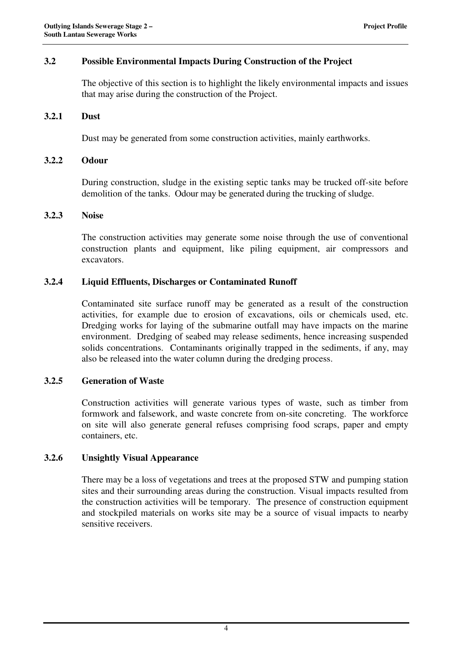# **3.2 Possible Environmental Impacts During Construction of the Project**

The objective of this section is to highlight the likely environmental impacts and issues that may arise during the construction of the Project.

### **3.2.1 Dust**

Dust may be generated from some construction activities, mainly earthworks.

#### **3.2.2 Odour**

During construction, sludge in the existing septic tanks may be trucked off-site before demolition of the tanks. Odour may be generated during the trucking of sludge.

#### **3.2.3 Noise**

The construction activities may generate some noise through the use of conventional construction plants and equipment, like piling equipment, air compressors and excavators.

### **3.2.4 Liquid Effluents, Discharges or Contaminated Runoff**

Contaminated site surface runoff may be generated as a result of the construction activities, for example due to erosion of excavations, oils or chemicals used, etc. Dredging works for laying of the submarine outfall may have impacts on the marine environment. Dredging of seabed may release sediments, hence increasing suspended solids concentrations. Contaminants originally trapped in the sediments, if any, may also be released into the water column during the dredging process.

### **3.2.5 Generation of Waste**

Construction activities will generate various types of waste, such as timber from formwork and falsework, and waste concrete from on-site concreting. The workforce on site will also generate general refuses comprising food scraps, paper and empty containers, etc.

### **3.2.6 Unsightly Visual Appearance**

There may be a loss of vegetations and trees at the proposed STW and pumping station sites and their surrounding areas during the construction. Visual impacts resulted from the construction activities will be temporary. The presence of construction equipment and stockpiled materials on works site may be a source of visual impacts to nearby sensitive receivers.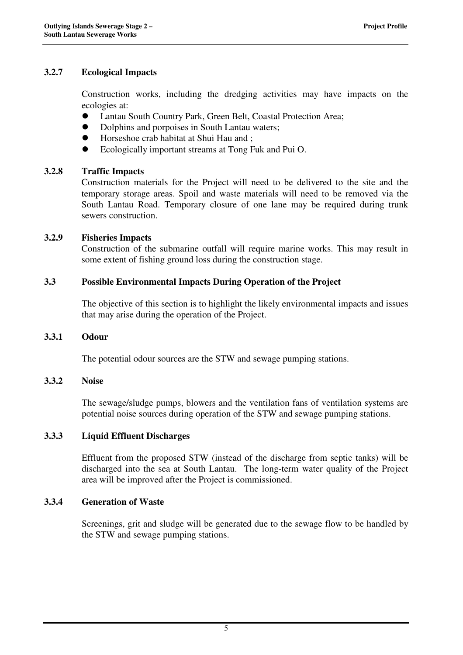# **3.2.7 Ecological Impacts**

Construction works, including the dredging activities may have impacts on the ecologies at:

- Lantau South Country Park, Green Belt, Coastal Protection Area;
- $\bullet$  Dolphins and porpoises in South Lantau waters;
- Horseshoe crab habitat at Shui Hau and ;
- Ecologically important streams at Tong Fuk and Pui O.

# **3.2.8 Traffic Impacts**

Construction materials for the Project will need to be delivered to the site and the temporary storage areas. Spoil and waste materials will need to be removed via the South Lantau Road. Temporary closure of one lane may be required during trunk sewers construction.

### **3.2.9 Fisheries Impacts**

Construction of the submarine outfall will require marine works. This may result in some extent of fishing ground loss during the construction stage.

# **3.3 Possible Environmental Impacts During Operation of the Project**

The objective of this section is to highlight the likely environmental impacts and issues that may arise during the operation of the Project.

### **3.3.1 Odour**

The potential odour sources are the STW and sewage pumping stations.

### **3.3.2 Noise**

The sewage/sludge pumps, blowers and the ventilation fans of ventilation systems are potential noise sources during operation of the STW and sewage pumping stations.

### **3.3.3 Liquid Effluent Discharges**

Effluent from the proposed STW (instead of the discharge from septic tanks) will be discharged into the sea at South Lantau. The long-term water quality of the Project area will be improved after the Project is commissioned.

### **3.3.4 Generation of Waste**

Screenings, grit and sludge will be generated due to the sewage flow to be handled by the STW and sewage pumping stations.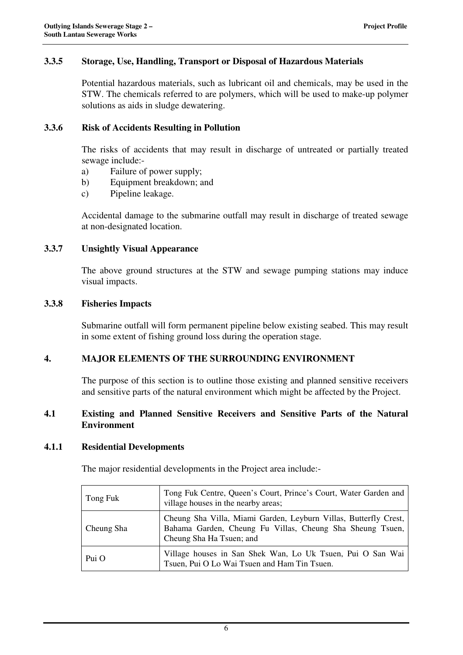# **3.3.5 Storage, Use, Handling, Transport or Disposal of Hazardous Materials**

Potential hazardous materials, such as lubricant oil and chemicals, may be used in the STW. The chemicals referred to are polymers, which will be used to make-up polymer solutions as aids in sludge dewatering.

### **3.3.6 Risk of Accidents Resulting in Pollution**

The risks of accidents that may result in discharge of untreated or partially treated sewage include:-

- a) Failure of power supply;
- b) Equipment breakdown; and
- c) Pipeline leakage.

Accidental damage to the submarine outfall may result in discharge of treated sewage at non-designated location.

# **3.3.7 Unsightly Visual Appearance**

The above ground structures at the STW and sewage pumping stations may induce visual impacts.

# **3.3.8 Fisheries Impacts**

Submarine outfall will form permanent pipeline below existing seabed. This may result in some extent of fishing ground loss during the operation stage.

# **4. MAJOR ELEMENTS OF THE SURROUNDING ENVIRONMENT**

The purpose of this section is to outline those existing and planned sensitive receivers and sensitive parts of the natural environment which might be affected by the Project.

# **4.1 Existing and Planned Sensitive Receivers and Sensitive Parts of the Natural Environment**

### **4.1.1 Residential Developments**

The major residential developments in the Project area include:-

| Tong Fuk   | Tong Fuk Centre, Queen's Court, Prince's Court, Water Garden and<br>village houses in the nearby areas;                                                   |  |
|------------|-----------------------------------------------------------------------------------------------------------------------------------------------------------|--|
| Cheung Sha | Cheung Sha Villa, Miami Garden, Leyburn Villas, Butterfly Crest,<br>Bahama Garden, Cheung Fu Villas, Cheung Sha Sheung Tsuen,<br>Cheung Sha Ha Tsuen; and |  |
| Pui O      | Village houses in San Shek Wan, Lo Uk Tsuen, Pui O San Wai<br>Tsuen, Pui O Lo Wai Tsuen and Ham Tin Tsuen.                                                |  |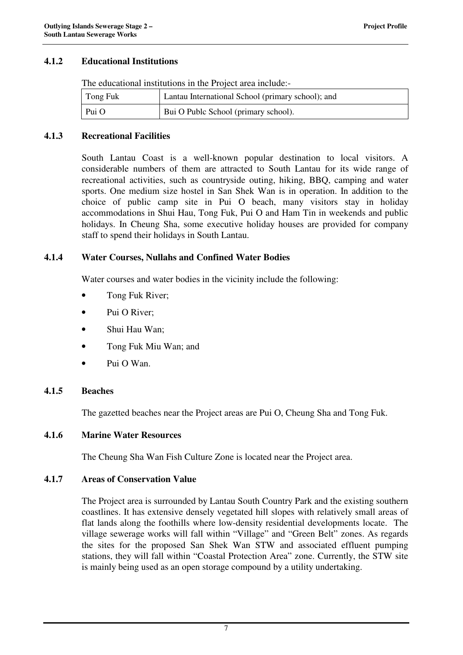# **4.1.2 Educational Institutions**

The educational institutions in the Project area include:-

| Tong Fuk | Lantau International School (primary school); and |
|----------|---------------------------------------------------|
| Pui O    | Bui O Publc School (primary school).              |

#### **4.1.3 Recreational Facilities**

South Lantau Coast is a well-known popular destination to local visitors. A considerable numbers of them are attracted to South Lantau for its wide range of recreational activities, such as countryside outing, hiking, BBQ, camping and water sports. One medium size hostel in San Shek Wan is in operation. In addition to the choice of public camp site in Pui O beach, many visitors stay in holiday accommodations in Shui Hau, Tong Fuk, Pui O and Ham Tin in weekends and public holidays. In Cheung Sha, some executive holiday houses are provided for company staff to spend their holidays in South Lantau.

### **4.1.4 Water Courses, Nullahs and Confined Water Bodies**

Water courses and water bodies in the vicinity include the following:

- Tong Fuk River;
- Pui O River:
- Shui Hau Wan:
- Tong Fuk Miu Wan; and
- Pui O Wan.

### **4.1.5 Beaches**

The gazetted beaches near the Project areas are Pui O, Cheung Sha and Tong Fuk.

### **4.1.6 Marine Water Resources**

The Cheung Sha Wan Fish Culture Zone is located near the Project area.

#### **4.1.7 Areas of Conservation Value**

The Project area is surrounded by Lantau South Country Park and the existing southern coastlines. It has extensive densely vegetated hill slopes with relatively small areas of flat lands along the foothills where low-density residential developments locate. The village sewerage works will fall within "Village" and "Green Belt" zones. As regards the sites for the proposed San Shek Wan STW and associated effluent pumping stations, they will fall within "Coastal Protection Area" zone. Currently, the STW site is mainly being used as an open storage compound by a utility undertaking.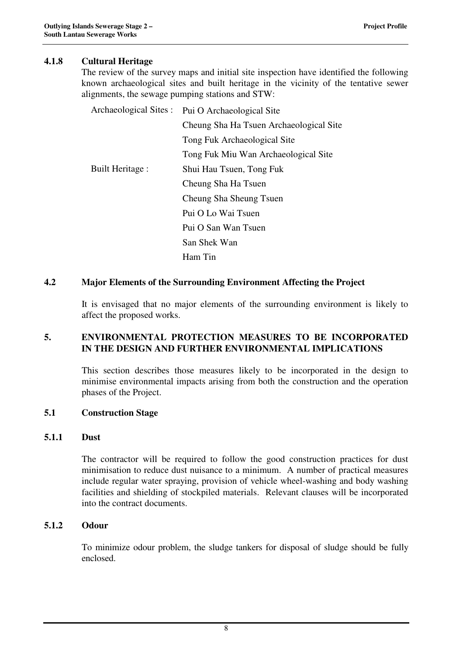# **4.1.8 Cultural Heritage**

The review of the survey maps and initial site inspection have identified the following known archaeological sites and built heritage in the vicinity of the tentative sewer alignments, the sewage pumping stations and STW:

Archaeological Sites :• Pui O Archaeological Site

- Cheung Sha Ha Tsuen Archaeological Site
- Tong Fuk Archaeological Site
- Tong Fuk Miu Wan Archaeological Site
- Built Heritage : Shui Hau Tsuen, Tong Fuk
	- Cheung Sha Ha Tsuen
	- Cheung Sha Sheung Tsuen
	- Pui O Lo Wai Tsuen
	- Pui O San Wan Tsuen
	- San Shek Wan
	- Ham Tin

### **4.2 Major Elements of the Surrounding Environment Affecting the Project**

It is envisaged that no major elements of the surrounding environment is likely to affect the proposed works.

# **5. ENVIRONMENTAL PROTECTION MEASURES TO BE INCORPORATED IN THE DESIGN AND FURTHER ENVIRONMENTAL IMPLICATIONS**

This section describes those measures likely to be incorporated in the design to minimise environmental impacts arising from both the construction and the operation phases of the Project.

### **5.1 Construction Stage**

### **5.1.1 Dust**

The contractor will be required to follow the good construction practices for dust minimisation to reduce dust nuisance to a minimum. A number of practical measures include regular water spraying, provision of vehicle wheel-washing and body washing facilities and shielding of stockpiled materials. Relevant clauses will be incorporated into the contract documents.

# **5.1.2 Odour**

To minimize odour problem, the sludge tankers for disposal of sludge should be fully enclosed.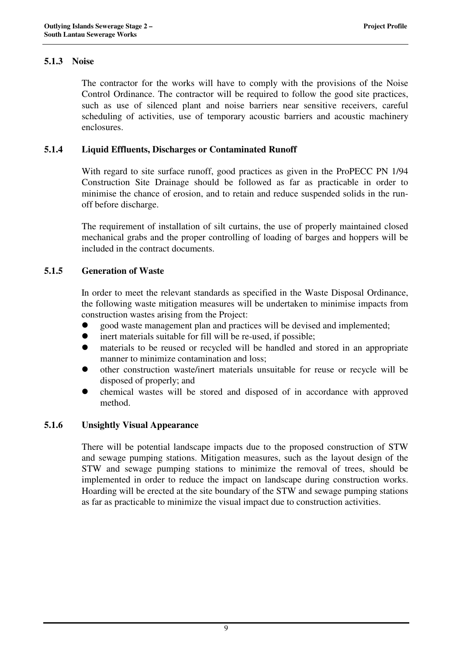# **5.1.3 Noise**

The contractor for the works will have to comply with the provisions of the Noise Control Ordinance. The contractor will be required to follow the good site practices, such as use of silenced plant and noise barriers near sensitive receivers, careful scheduling of activities, use of temporary acoustic barriers and acoustic machinery enclosures.

# **5.1.4 Liquid Effluents, Discharges or Contaminated Runoff**

With regard to site surface runoff, good practices as given in the ProPECC PN 1/94 Construction Site Drainage should be followed as far as practicable in order to minimise the chance of erosion, and to retain and reduce suspended solids in the runoff before discharge.

The requirement of installation of silt curtains, the use of properly maintained closed mechanical grabs and the proper controlling of loading of barges and hoppers will be included in the contract documents.

# **5.1.5 Generation of Waste**

In order to meet the relevant standards as specified in the Waste Disposal Ordinance, the following waste mitigation measures will be undertaken to minimise impacts from construction wastes arising from the Project:

- good waste management plan and practices will be devised and implemented;
- inert materials suitable for fill will be re-used, if possible;
- materials to be reused or recycled will be handled and stored in an appropriate manner to minimize contamination and loss;
- other construction waste/inert materials unsuitable for reuse or recycle will be disposed of properly; and
- chemical wastes will be stored and disposed of in accordance with approved method.

### **5.1.6 Unsightly Visual Appearance**

There will be potential landscape impacts due to the proposed construction of STW and sewage pumping stations. Mitigation measures, such as the layout design of the STW and sewage pumping stations to minimize the removal of trees, should be implemented in order to reduce the impact on landscape during construction works. Hoarding will be erected at the site boundary of the STW and sewage pumping stations as far as practicable to minimize the visual impact due to construction activities.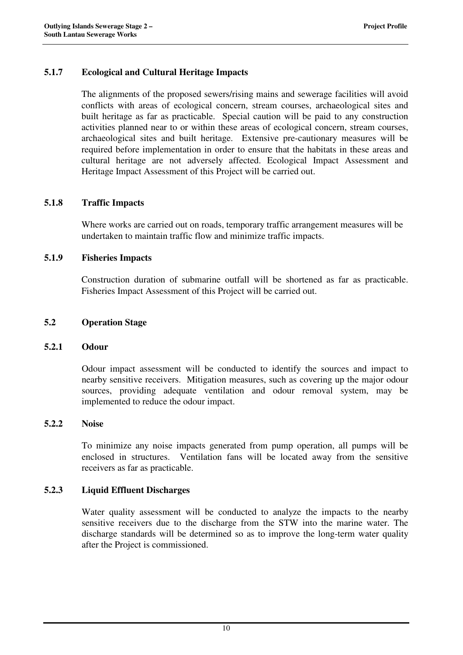# **5.1.7 Ecological and Cultural Heritage Impacts**

The alignments of the proposed sewers/rising mains and sewerage facilities will avoid conflicts with areas of ecological concern, stream courses, archaeological sites and built heritage as far as practicable. Special caution will be paid to any construction activities planned near to or within these areas of ecological concern, stream courses, archaeological sites and built heritage. Extensive pre-cautionary measures will be required before implementation in order to ensure that the habitats in these areas and cultural heritage are not adversely affected. Ecological Impact Assessment and Heritage Impact Assessment of this Project will be carried out.

# **5.1.8 Traffic Impacts**

Where works are carried out on roads, temporary traffic arrangement measures will be undertaken to maintain traffic flow and minimize traffic impacts.

### **5.1.9 Fisheries Impacts**

Construction duration of submarine outfall will be shortened as far as practicable. Fisheries Impact Assessment of this Project will be carried out.

### **5.2 Operation Stage**

### **5.2.1 Odour**

Odour impact assessment will be conducted to identify the sources and impact to nearby sensitive receivers. Mitigation measures, such as covering up the major odour sources, providing adequate ventilation and odour removal system, may be implemented to reduce the odour impact.

### **5.2.2 Noise**

To minimize any noise impacts generated from pump operation, all pumps will be enclosed in structures. Ventilation fans will be located away from the sensitive receivers as far as practicable.

### **5.2.3 Liquid Effluent Discharges**

Water quality assessment will be conducted to analyze the impacts to the nearby sensitive receivers due to the discharge from the STW into the marine water. The discharge standards will be determined so as to improve the long-term water quality after the Project is commissioned.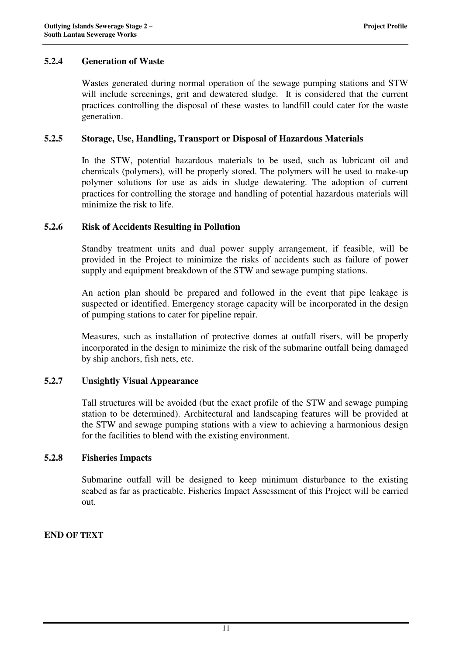# **5.2.4 Generation of Waste**

Wastes generated during normal operation of the sewage pumping stations and STW will include screenings, grit and dewatered sludge. It is considered that the current practices controlling the disposal of these wastes to landfill could cater for the waste generation.

### **5.2.5 Storage, Use, Handling, Transport or Disposal of Hazardous Materials**

In the STW, potential hazardous materials to be used, such as lubricant oil and chemicals (polymers), will be properly stored. The polymers will be used to make-up polymer solutions for use as aids in sludge dewatering. The adoption of current practices for controlling the storage and handling of potential hazardous materials will minimize the risk to life.

# **5.2.6 Risk of Accidents Resulting in Pollution**

Standby treatment units and dual power supply arrangement, if feasible, will be provided in the Project to minimize the risks of accidents such as failure of power supply and equipment breakdown of the STW and sewage pumping stations.

An action plan should be prepared and followed in the event that pipe leakage is suspected or identified. Emergency storage capacity will be incorporated in the design of pumping stations to cater for pipeline repair.

Measures, such as installation of protective domes at outfall risers, will be properly incorporated in the design to minimize the risk of the submarine outfall being damaged by ship anchors, fish nets, etc.

### **5.2.7 Unsightly Visual Appearance**

Tall structures will be avoided (but the exact profile of the STW and sewage pumping station to be determined). Architectural and landscaping features will be provided at the STW and sewage pumping stations with a view to achieving a harmonious design for the facilities to blend with the existing environment.

# **5.2.8 Fisheries Impacts**

Submarine outfall will be designed to keep minimum disturbance to the existing seabed as far as practicable. Fisheries Impact Assessment of this Project will be carried out.

### **END OF TEXT**